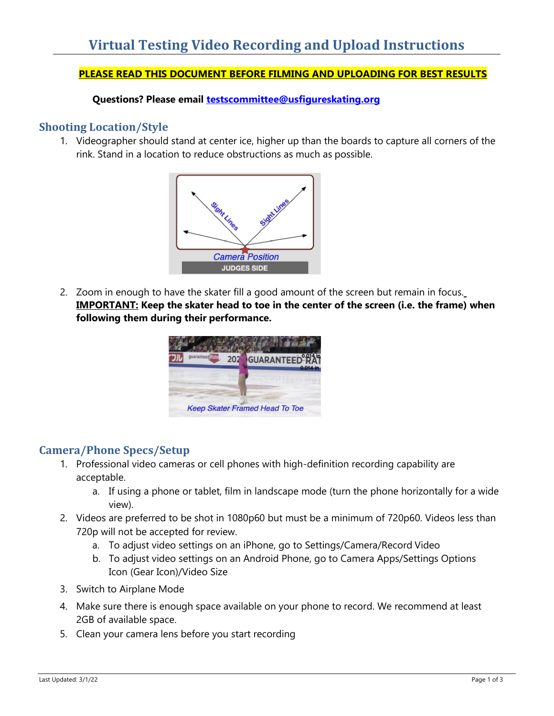### **PLEASE READ THIS DOCUMENT BEFORE FILMING AND UPLOADING FOR BEST RESULTS**

**Questions? Please email [testscommittee@usfigureskating.org](mailto:testscommittee@usfigureskating.org)**

### **Shooting Location/Style**

1. Videographer should stand at center ice, higher up than the boards to capture all corners of the rink. Stand in a location to reduce obstructions as much as possible.



2. Zoom in enough to have the skater fill a good amount of the screen but remain in focus. **IMPORTANT: Keep the skater head to toe in the center of the screen (i.e. the frame) when following them during their performance.**



### **Camera/Phone Specs/Setup**

- 1. Professional video cameras or cell phones with high-definition recording capability are acceptable.
	- a. If using a phone or tablet, film in landscape mode (turn the phone horizontally for a wide view).
- 2. Videos are preferred to be shot in 1080p60 but must be a minimum of 720p60. Videos less than 720p will not be accepted for review.
	- a. To adjust video settings on an iPhone, go to Settings/Camera/Record Video
	- b. To adjust video settings on an Android Phone, go to Camera Apps/Settings Options Icon (Gear Icon)/Video Size
- 3. Switch to Airplane Mode
- 4. Make sure there is enough space available on your phone to record. We recommend at least 2GB of available space.
- 5. Clean your camera lens before you start recording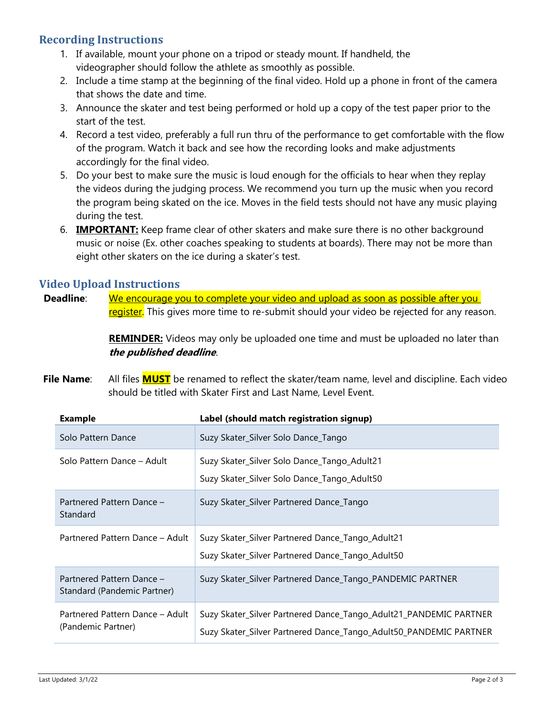## **Recording Instructions**

- 1. If available, mount your phone on a tripod or steady mount. If handheld, the videographer should follow the athlete as smoothly as possible.
- 2. Include a time stamp at the beginning of the final video. Hold up a phone in front of the camera that shows the date and time.
- 3. Announce the skater and test being performed or hold up a copy of the test paper prior to the start of the test.
- 4. Record a test video, preferably a full run thru of the performance to get comfortable with the flow of the program. Watch it back and see how the recording looks and make adjustments accordingly for the final video.
- 5. Do your best to make sure the music is loud enough for the officials to hear when they replay the videos during the judging process. We recommend you turn up the music when you record the program being skated on the ice. Moves in the field tests should not have any music playing during the test.
- 6. **IMPORTANT:** Keep frame clear of other skaters and make sure there is no other background music or noise (Ex. other coaches speaking to students at boards). There may not be more than eight other skaters on the ice during a skater's test.

### **Video Upload Instructions**

**Deadline:** We encourage you to complete your video and upload as soon as possible after you register. This gives more time to re-submit should your video be rejected for any reason.

> **REMINDER:** Videos may only be uploaded one time and must be uploaded no later than **the published deadline**.

**File Name**: All files **MUST** be renamed to reflect the skater/team name, level and discipline. Each video should be titled with Skater First and Last Name, Level Event.

| <b>Example</b>                                           | Label (should match registration signup)                                                                                               |
|----------------------------------------------------------|----------------------------------------------------------------------------------------------------------------------------------------|
| Solo Pattern Dance                                       | Suzy Skater_Silver Solo Dance_Tango                                                                                                    |
| Solo Pattern Dance - Adult                               | Suzy Skater_Silver Solo Dance_Tango_Adult21<br>Suzy Skater_Silver Solo Dance_Tango_Adult50                                             |
| Partnered Pattern Dance -<br>Standard                    | Suzy Skater_Silver Partnered Dance_Tango                                                                                               |
| Partnered Pattern Dance - Adult                          | Suzy Skater_Silver Partnered Dance_Tango_Adult21<br>Suzy Skater_Silver Partnered Dance_Tango_Adult50                                   |
| Partnered Pattern Dance -<br>Standard (Pandemic Partner) | Suzy Skater_Silver Partnered Dance_Tango_PANDEMIC PARTNER                                                                              |
| Partnered Pattern Dance - Adult<br>(Pandemic Partner)    | Suzy Skater_Silver Partnered Dance_Tango_Adult21_PANDEMIC PARTNER<br>Suzy Skater_Silver Partnered Dance_Tango_Adult50_PANDEMIC PARTNER |